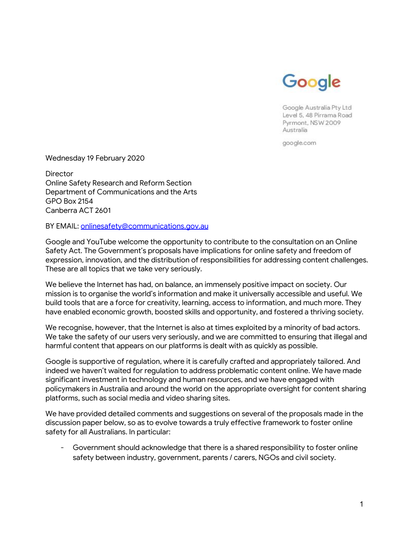

Google Australia Pty Ltd Level 5, 48 Pirrama Road Pyrmont, NSW 2009 Australia

google.com

Wednesday 19 February 2020

**Director** Online Safety Research and Reform Section Department of Communications and the Arts GPO Box 2154 Canberra ACT 2601

BY EMAIL: onlinesafety@communications.gov.au

Google and YouTube welcome the opportunity to contribute to the consultation on an Online Safety Act. The Government's proposals have implications for online safety and freedom of expression, innovation, and the distribution of responsibilities for addressing content challenges. These are all topics that we take very seriously.

We believe the Internet has had, on balance, an immensely positive impact on society. Our mission is to organise the world's information and make it universally accessible and useful. We build tools that are a force for creativity, learning, access to information, and much more. They have enabled economic growth, boosted skills and opportunity, and fostered a thriving society.

We recognise, however, that the Internet is also at times exploited by a minority of bad actors. We take the safety of our users very seriously, and we are committed to ensuring that illegal and harmful content that appears on our platforms is dealt with as quickly as possible.

Google is supportive of regulation, where it is carefully crafted and appropriately tailored. And indeed we haven't waited for regulation to address problematic content online. We have made significant investment in technology and human resources, and we have engaged with policymakers in Australia and around the world on the appropriate oversight for content sharing platforms, such as social media and video sharing sites.

We have provided detailed comments and suggestions on several of the proposals made in the discussion paper below, so as to evolve towards a truly effective framework to foster online safety for all Australians. In particular:

Government should acknowledge that there is a shared responsibility to foster online safety between industry, government, parents / carers, NGOs and civil society.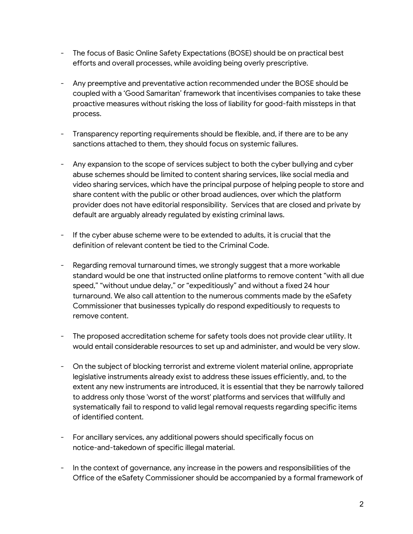- The focus of Basic Online Safety Expectations (BOSE) should be on practical best efforts and overall processes, while avoiding being overly prescriptive.
- Any preemptive and preventative action recommended under the BOSE should be coupled with a 'Good Samaritan' framework that incentivises companies to take these proactive measures without risking the loss of liability for good-faith missteps in that process.
- Transparency reporting requirements should be flexible, and, if there are to be any sanctions attached to them, they should focus on systemic failures.
- Any expansion to the scope of services subject to both the cyber bullying and cyber abuse schemes should be limited to content sharing services, like social media and video sharing services, which have the principal purpose of helping people to store and share content with the public or other broad audiences, over which the platform provider does not have editorial responsibility. Services that are closed and private by default are arguably already regulated by existing criminal laws.
- If the cyber abuse scheme were to be extended to adults, it is crucial that the definition of relevant content be tied to the Criminal Code.
- Regarding removal turnaround times, we strongly suggest that a more workable standard would be one that instructed online platforms to remove content "with all due speed," "without undue delay," or "expeditiously" and without a fixed 24 hour turnaround. We also call attention to the numerous comments made by the eSafety Commissioner that businesses typically do respond expeditiously to requests to remove content.
- The proposed accreditation scheme for safety tools does not provide clear utility. It would entail considerable resources to set up and administer, and would be very slow.
- On the subject of blocking terrorist and extreme violent material online, appropriate legislative instruments already exist to address these issues efficiently, and, to the extent any new instruments are introduced, it is essential that they be narrowly tailored to address only those 'worst of the worst' platforms and services that willfully and systematically fail to respond to valid legal removal requests regarding specific items of identified content.
- For ancillary services, any additional powers should specifically focus on notice-and-takedown of specific illegal material.
- In the context of governance, any increase in the powers and responsibilities of the Office of the eSafety Commissioner should be accompanied by a formal framework of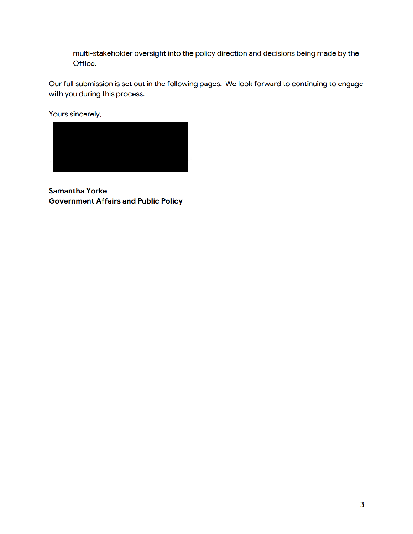multi-stakeholder oversight into the policy direction and decisions being made by the Office.

Our full submission is set out in the following pages. We look forward to continuing to engage with you during this process.

Yours sincerely,



**Samantha Yorke Government Affairs and Public Policy**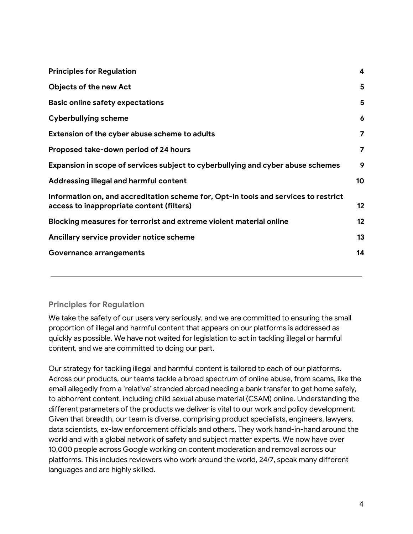| <b>Principles for Regulation</b>                                                                                                 | $\boldsymbol{4}$ |
|----------------------------------------------------------------------------------------------------------------------------------|------------------|
| <b>Objects of the new Act</b>                                                                                                    | 5                |
| <b>Basic online safety expectations</b>                                                                                          | 5                |
| <b>Cyberbullying scheme</b>                                                                                                      | 6                |
| Extension of the cyber abuse scheme to adults                                                                                    | 7                |
| Proposed take-down period of 24 hours                                                                                            | 7                |
| Expansion in scope of services subject to cyberbullying and cyber abuse schemes                                                  | 9                |
| Addressing illegal and harmful content                                                                                           | 10               |
| Information on, and accreditation scheme for, Opt-in tools and services to restrict<br>access to inappropriate content (filters) | 12               |
| Blocking measures for terrorist and extreme violent material online                                                              | 12               |
| Ancillary service provider notice scheme                                                                                         | 13               |
| <b>Governance arrangements</b>                                                                                                   | 14               |

## **Principles for Regulation**

We take the safety of our users very seriously, and we are committed to ensuring the small proportion of illegal and harmful content that appears on our platforms is addressed as quickly as possible. We have not waited for legislation to act in tackling illegal or harmful content, and we are committed to doing our part.

Our strategy for tackling illegal and harmful content is tailored to each of our platforms. Across our products, our teams tackle a broad spectrum of online abuse, from scams, like the email allegedly from a 'relative' stranded abroad needing a bank transfer to get home safely, to abhorrent content, including child sexual abuse material (CSAM) online. Understanding the different parameters of the products we deliver is vital to our work and policy development. Given that breadth, our team is diverse, comprising product specialists, engineers, lawyers, data scientists, ex-law enforcement officials and others. They work hand-in-hand around the world and with a global network of safety and subject matter experts. We now have over 10,000 people across Google working on content moderation and removal across our platforms. This includes reviewers who work around the world, 24/7, speak many different languages and are highly skilled.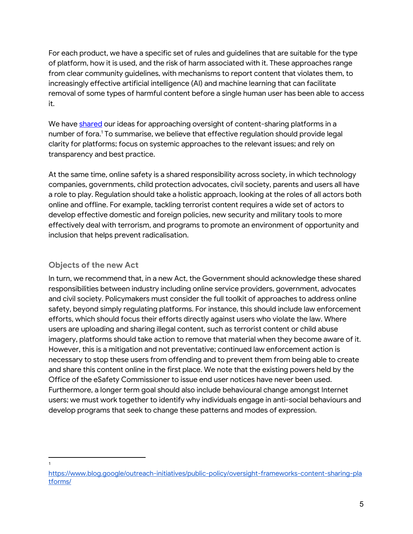For each product, we have a specific set of rules and guidelines that are suitable for the type of platform, how it is used, and the risk of harm associated with it. These approaches range from clear community guidelines, with mechanisms to report content that violates them, to increasingly effective artificial intelligence (AI) and machine learning that can facilitate removal of some types of harmful content before a single human user has been able to access it.

We have shared our ideas for approaching oversight of content-sharing platforms in a number of fora.<sup>1</sup> To summarise, we believe that effective regulation should provide legal clarity for platforms; focus on systemic approachesto the relevant issues; and rely on transparency and best practice.

At the same time, online safety is a shared responsibility across society, in which technology companies, governments, child protection advocates, civil society, parents and users all have a role to play. Regulation should take a holistic approach, looking at the roles of all actors both online and offline. For example, tackling terrorist content requires a wide set of actors to develop effective domestic and foreign policies, new security and military tools to more effectively deal with terrorism, and programs to promote an environment of opportunity and inclusion that helps prevent radicalisation.

## **Objects of the new Act**

In turn, we recommend that, in a new Act, the Government should acknowledge these shared responsibilities between industry including online service providers, government, advocates and civil society. Policymakers must consider the full toolkit of approaches to address online safety, beyond simply regulating platforms. For instance, this should include law enforcement efforts, which should focus their efforts directly against users who violate the law.Where users are uploading and sharing illegal content, such as terrorist content or child abuse imagery, platforms should take action to remove that material when they become aware of it. However, this is a mitigation and not preventative; continued law enforcement action is necessary to stop these users from offending and to prevent them from being able to create and share this content online in the first place. We note that the existing powers held by the Office of the eSafety Commissioner to issue end user notices have never been used. Furthermore, a longer term goal should also include behavioural change amongst Internet users; we must work together to identify why individuals engage in anti-social behaviours and develop programs that seek to change these patterns and modes of expression.

<sup>1</sup>

https://www.blog.google/outreach-initiatives/public-policy/oversight-frameworks-content-sharing-pla tforms/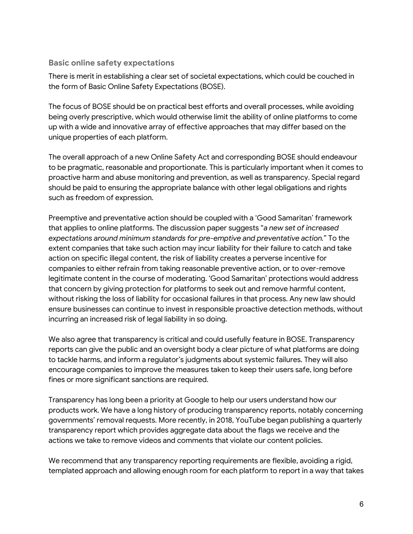#### **Basic online safety expectations**

There is merit in establishing a clear set of societal expectations, which could be couched in the form of Basic Online Safety Expectations (BOSE).

The focus of BOSE should be on practical best efforts and overall processes, while avoiding being overly prescriptive, which would otherwise limit the ability of online platforms to come up with a wide and innovative array of effective approaches that may differ based on the unique properties of each platform.

The overall approach of a new Online Safety Act and corresponding BOSE should endeavour to be pragmatic, reasonable and proportionate. This is particularly important when it comes to proactive harm and abuse monitoring and prevention, as well as transparency. Special regard should be paid to ensuring the appropriate balance with other legal obligations and rights such as freedom of expression.

Preemptive and preventative action should be coupled with a 'Good Samaritan' framework that applies to online platforms. The discussion paper suggests "*a new set of increased expectations around minimum standards for pre-emptive and preventative action.*" To the extent companies that take such action may incur liability for their failure to catch and take action on specific illegal content, the risk of liability creates a perverse incentive for companies to either refrain from taking reasonable preventive action, or to over-remove legitimate content in the course of moderating. 'Good Samaritan' protections would address that concern by giving protection for platforms to seek out and remove harmful content, without risking the loss of liability for occasional failures in that process. Any new law should ensure businesses can continue to invest in responsible proactive detection methods, without incurring an increased risk of legal liability in so doing.

We also agree that transparency is critical and could usefully feature in BOSE. Transparency reports can give the public and an oversight body a clear picture of what platforms are doing to tackle harms, and inform a regulator's judgments about systemic failures. They will also encourage companies to improve the measures taken to keep their users safe, long before fines or more significant sanctions are required.

Transparency has long been a priority at Google to help our users understand how our products work. We have a long history of producing transparency reports, notably concerning governments' removal requests. More recently, in 2018, YouTube began publishing a quarterly transparency report which provides aggregate data about the flags we receive and the actions we take to remove videos and comments that violate our content policies.

We recommend that any transparency reporting requirements are flexible, avoiding a rigid, templated approach and allowing enough room for each platform to report in a way that takes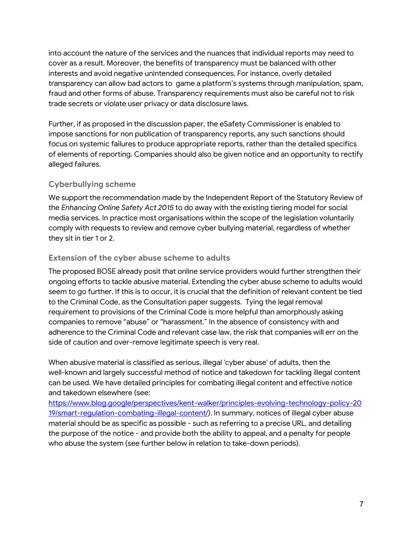into account the nature of the services and the nuances that individual reports may need to cover as a result. Moreover, the benefits of transparency must be balanced with other interests and avoid negative unintended consequences. For instance, overly detailed transparency can allow bad actors to game a platform's systems through manipulation, spam, fraud and other forms of abuse. Transparency requirements must also be careful not to risk trade secrets or violate user privacy or data disclosure laws.

Further, if as proposed in the discussion paper, the eSafety Commissioner is enabled to impose sanctions for non publication of transparency reports, any such sanctions should focus on systemic failures to produce appropriate reports, rather than the detailed specifics of elements of reporting. Companies should also be given notice and an opportunity to rectify alleged failures.

## **Cyberbullying scheme**

We support the recommendation made by the Independent Report of the Statutory Review of the *Enhancing Online Safety Act 2015* to do away with the existing tiering model for social media services. In practice most organisations within the scope of the legislation voluntarily comply with requests to review and remove cyber bullying material, regardless of whether they sit in tier 1 or 2.

## **Extension of the cyber abuse scheme to adults**

The proposed BOSE already posit that online service providers would further strengthen their ongoing efforts to tackle abusive material. Extending the cyber abuse scheme to adults would seem to go further. If this is to occur, it is crucial that the definition of relevant content be tied to the Criminal Code, as the Consultation paper suggests. Tying the legal removal requirement to provisions of the Criminal Code is more helpful than amorphously asking companies to remove "abuse" or "harassment." In the absence of consistency with and adherence to the Criminal Code and relevant case law, the risk that companies will err on the side of caution and over-remove legitimate speech is very real.

When abusive material is classified as serious, illegal 'cyber abuse' of adults, then the well-known and largely successful method of notice and takedown for tackling illegal content can be used. We have detailed principles for combating illegal content and effective notice and takedown elsewhere (see:

https://www.blog.google/perspectives/kent-walker/principles-evolving-technology-policy-20 19/smart-regulation-combating-illegal-content/). In summary, notices of illegal cyber abuse material should be as specific as possible - such as referring to a precise URL, and detailing the purpose of the notice - and provide both the ability to appeal, and a penalty for people who abuse the system (see further below in relation to take-down periods).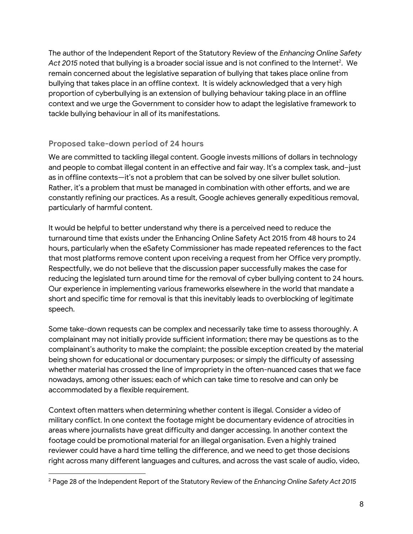The author of the Independent Report of the Statutory Review of the *Enhancing Online Safety* Act 2015 noted that bullying is a broader social issue and is not confined to the Internet<sup>2</sup>. We remain concerned about the legislative separation of bullying that takes place online from bullying that takes place in an offline context. It is widely acknowledged that a very high proportion of cyberbullying is an extension of bullying behaviour taking place in an offline context and we urge the Government to consider how to adapt the legislative framework to tackle bullying behaviour in all of its manifestations.

### **Proposed take-down period of 24 hours**

We are committed to tackling illegal content. Google invests millions of dollars in technology and people to combat illegal content in an effective and fair way. It's a complex task, and–just as in offline contexts—it's not a problem that can be solved by one silver bullet solution. Rather, it's a problem that must be managed in combination with other efforts, and we are constantly refining our practices. As a result, Google achieves generally expeditious removal, particularly of harmful content.

It would be helpful to better understand why there is a perceived need to reduce the turnaround time that exists under the Enhancing Online Safety Act 2015 from 48 hours to 24 hours, particularly when the eSafety Commissioner has made repeated references to the fact that most platforms remove content upon receiving a request from her Office very promptly. Respectfully, we do not believe that the discussion paper successfully makes the case for reducing the legislated turn around time for the removal of cyber bullying content to 24 hours. Our experience in implementing various frameworks elsewhere in the world that mandate a short and specific time for removal is that this inevitably leads to overblocking of legitimate speech.

Some take-down requests can be complex and necessarily take time to assess thoroughly. A complainant may not initially provide sufficient information; there may be questions as to the complainant's authority to make the complaint; the possible exception created by the material being shown for educational or documentary purposes; or simply the difficulty of assessing whether material has crossed the line of impropriety in the often-nuanced cases that we face nowadays, among other issues; each of which can take time to resolve and can only be accommodated by a flexible requirement.

Context often matters when determining whether content is illegal. Consider a video of military conflict. In one context the footage might be documentary evidence of atrocities in areas where journalists have great difficulty and danger accessing. In another context the footage could be promotional material for an illegal organisation. Even a highly trained reviewer could have a hard time telling the difference, and we need to get those decisions right across many different languages and cultures, and across the vast scale of audio, video,

<sup>2</sup> Page 28 of the Independent Report of the Statutory Review of the *Enhancing Online Safety Act 2015*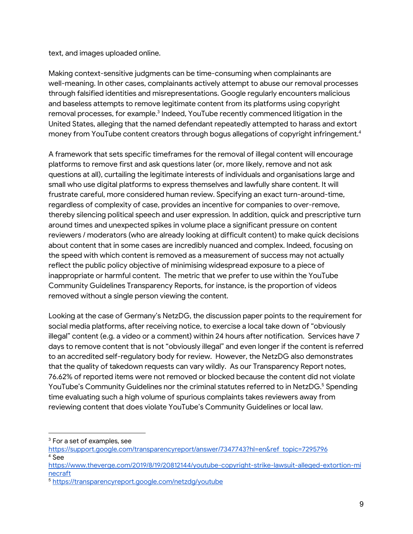text, and images uploaded online.

Making context-sensitive judgments can be time-consuming when complainants are well-meaning. In other cases, complainants actively attempt to abuse our removal processes through falsified identities and misrepresentations. Google regularly encounters malicious and baseless attempts to remove legitimate content from its platforms using copyright removal processes, for example.<sup>3</sup> Indeed, YouTube recently commenced litigation in the United States, alleging that the named defendant repeatedly attempted to harass and extort money from YouTube content creators through bogus allegations of copyright infringement.<sup>4</sup>

A framework that sets specific timeframes for the removal of illegal content will encourage platforms to remove first and ask questions later (or, more likely, remove and not ask questions at all), curtailing the legitimate interests of individuals and organisations large and small who use digital platforms to express themselves and lawfully share content. It will frustrate careful, more considered human review. Specifying an exact turn-around-time, regardless of complexity of case, provides an incentive for companies to over-remove, thereby silencing political speech and user expression. In addition, quick and prescriptive turn around times and unexpected spikes in volume place a significant pressure on content reviewers / moderators (who are already looking at difficult content) to make quick decisions about content that in some cases are incredibly nuanced and complex. Indeed, focusing on the speed with which content is removed as a measurement of success may not actually reflect the public policy objective of minimising widespread exposure to a piece of inappropriate or harmful content. The metric that we prefer to use within the YouTube Community Guidelines Transparency Reports, for instance, is the proportion of videos removed without a single person viewing the content.

Looking at the case of Germany's NetzDG, the discussion paper points to the requirement for social media platforms, after receiving notice, to exercise a local take down of "obviously illegal" content (e.g. a video or a comment) within 24 hours after notification. Services have 7 days to remove content that is not "obviously illegal" and even longer if the content is referred to an accredited self-regulatory body for review. However, the NetzDG also demonstrates that the quality of takedown requests can vary wildly. As our Transparency Report notes, 76.62% of reported items were not removed or blocked because the content did not violate YouTube's Community Guidelines nor the criminal statutes referred to in NetzDG.<sup>5</sup> Spending time evaluating such a high volume of spurious complaints takes reviewers away from reviewing content that does violate YouTube's Community Guidelines or local law.

<sup>&</sup>lt;sup>3</sup> For a set of examples, see

https://support.google.com/transparencyreport/answer/7347743?hl=en&ref topic=7295796 <sup>4</sup> See

https://www.theverge.com/2019/8/19/20812144/youtube-copyright-strike-lawsuit-alleged-extortion-mi necraft

<sup>5</sup> https://transparencyreport.google.com/netzdg/youtube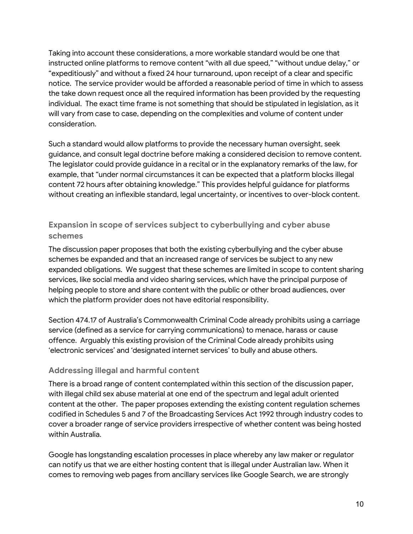Taking into account these considerations, a more workable standard would be one that instructed online platforms to remove content "with all due speed," "without undue delay," or "expeditiously" and without a fixed 24 hour turnaround, upon receipt of a clear and specific notice. The service provider would be afforded a reasonable period of time in which to assess the take down request once all the required information has been provided by the requesting individual. The exact time frame is not something that should be stipulated in legislation, as it will vary from case to case, depending on the complexities and volume of content under consideration.

Such a standard would allow platforms to provide the necessary human oversight, seek guidance, and consult legal doctrine before making a considered decision to remove content. The legislator could provide guidance in a recital or in the explanatory remarks of the law, for example, that "under normal circumstances it can be expected that a platform blocks illegal content 72 hours after obtaining knowledge." This provides helpful guidance for platforms without creating an inflexible standard, legal uncertainty, or incentives to over-block content.

# **Expansion in scope of services subject to cyberbullying and cyber abuse schemes**

The discussion paper proposes that both the existing cyberbullying and the cyber abuse schemes be expanded and that an increased range of services be subject to any new expanded obligations. We suggest that these schemes are limited in scope to content sharing services, like social media and video sharing services, which have the principal purpose of helping people to store and share content with the public or other broad audiences, over which the platform provider does not have editorial responsibility.

Section 474.17 of Australia's Commonwealth Criminal Code already prohibits using a carriage service (defined as a service for carrying communications) to menace, harass or cause offence. Arguably this existing provision of the Criminal Code already prohibits using 'electronic services' and 'designated internet services' to bully and abuse others.

## **Addressing illegal and harmful content**

There is a broad range ofcontent contemplated within this section of the discussion paper, withillegal child sex abuse material at one end of the spectrum and legal adult oriented content at the other. The paper proposes extending the existing content regulation schemes codified in Schedules 5 and 7 of the Broadcasting Services Act 1992 through industry codes to cover a broader range of service providers irrespective of whether content was being hosted within Australia.

Google has longstanding escalation processes in place whereby any law maker or regulator can notify us that we are either hosting content that is illegal under Australian law. When it comes to removing web pages from ancillary services like Google Search, we are strongly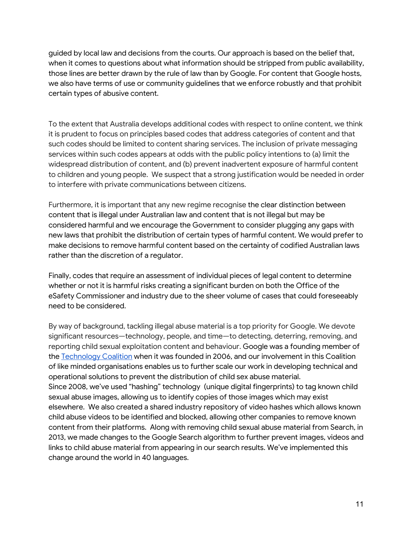guided by local law and decisions from the courts. Our approach is based on the belief that, when it comes to questions about what information should be stripped from public availability, those lines are better drawn by the rule of law than by Google. For content that Google hosts, we also have terms of use or community guidelines that we enforce robustly and that prohibit certain types of abusive content.

To the extent that Australia develops additional codes with respect to online content, we think it is prudent to focus on principles based codes that address categories of content and that such codes should be limited to content sharing services. The inclusion of private messaging services within such codes appears at odds with the public policy intentions to (a) limit the widespread distribution of content, and (b) prevent inadvertent exposure of harmful content to children and young people. We suspect that a strong justification would be needed in order to interfere with private communications between citizens.

Furthermore, it is important that any new regime recognise the clear distinction between content that is illegal under Australian law and content that is not illegal but may be considered harmful and we encourage the Government to consider plugging any gaps with new laws that prohibit the distribution of certain types of harmful content. We would prefer to make decisions to remove harmful content based on the certainty of codified Australian laws rather than the discretion of a regulator.

Finally, codes that require an assessment of individual pieces of legal content to determine whether or not it is harmful risks creating a significant burden on both the Office of the eSafety Commissioner and industry due to the sheer volume of cases that could foreseeably need to be considered.

By way of background, tackling illegal abuse material is a top priority for Google. We devote significant resources—technology, people, and time—to detecting, deterring, removing, and reporting child sexual exploitation content and behaviour. Google was a founding member of the Technology Coalition when it was founded in 2006, and our involvement in this Coalition of like minded organisations enables us to further scale our work in developing technical and operational solutions to prevent the distribution of child sex abuse material. Since 2008, we've used "hashing" technology (unique digital fingerprints) to tag known child sexual abuse images, allowing us to identify copies of those images which may exist elsewhere. We also created a shared industry repository of video hashes which allows known child abuse videos to be identified and blocked, allowing other companies to remove known content from their platforms. Along with removing child sexual abuse material from Search, in 2013, we made changes to the Google Search algorithm to further prevent images, videos and links to child abuse material from appearing in our search results. We've implemented this change around the world in 40 languages.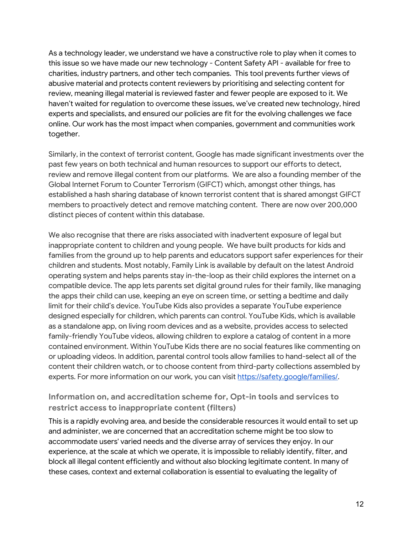As a technology leader, we understand we have a constructive role to play when it comes to this issue so we have made our new technology - Content Safety API - available for free to charities, industry partners, and other tech companies. This tool prevents further views of abusive material and protects content reviewers by prioritising and selecting content for review, meaning illegal material is reviewed faster and fewer people are exposed to it. We haven't waited for regulation to overcome these issues, we've created new technology, hired experts and specialists, and ensured our policies are fit for the evolving challenges we face online. Our work has the most impact when companies, government and communities work together.

Similarly, in the context of terrorist content, Google has made significant investments over the past few years on both technical and human resources to support our efforts to detect, review and remove illegal content from our platforms. We are also a founding member of the Global Internet Forum to Counter Terrorism (GIFCT) which, amongst other things, has established a hash sharing database of known terrorist content that is shared amongst GIFCT members to proactively detect and remove matching content. There are now over 200,000 distinct pieces of content within this database.

We also recognise that there are risks associated with inadvertent exposure of legal but inappropriate content to children and young people. We have built products for kids and families from the ground up to help parents and educators support safer experiences for their children and students. Most notably, Family Link is available by default on the latest Android operating system and helps parents stay in-the-loop as their child explores the internet on a compatible device. The app lets parents set digital ground rules for their family, like managing the apps their child can use, keeping an eye on screen time, or setting a bedtime and daily limit for their child's device. YouTube Kids also provides a separate YouTube experience designed especially for children, which parents can control. YouTube Kids, which is available as a standalone app, on living room devices and as a website, provides access to selected family-friendly YouTube videos, allowing children to explore a catalog of content in a more contained environment. Within YouTube Kids there are no social features like commenting on or uploading videos. In addition, parental control tools allow families to hand-select all of the content their children watch, or to choose content from third-party collections assembled by experts. For more information on our work, you can visit https://safety.google/families/.

# **Information on, and accreditation scheme for, Opt-in tools and services to restrict access to inappropriate content (filters)**

This is a rapidly evolving area, and beside the considerable resources it would entail to set up and administer, we are concerned that an accreditation scheme might be too slow to accommodate users' varied needs and the diverse array of services they enjoy. In our experience, at the scale at which we operate, it is impossible to reliably identify, filter, and block all illegal content efficiently and without also blocking legitimate content. In many of these cases, context and external collaboration is essential to evaluating the legality of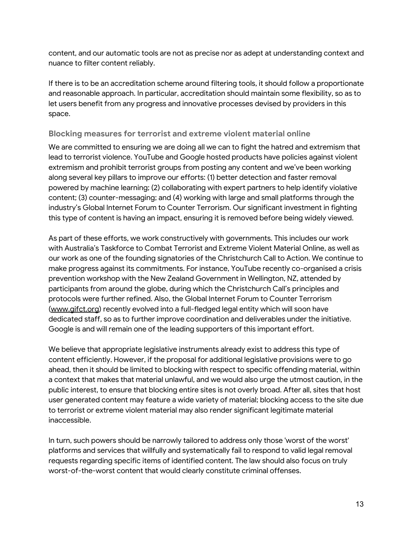content, and our automatic tools are not as precise nor as adept at understanding context and nuance to filter content reliably.

If there is to be an accreditation scheme around filtering tools, it should follow a proportionate and reasonable approach. In particular, accreditation should maintain some flexibility, so as to let users benefit from any progress and innovative processes devised by providers in this space.

## **Blocking measures for terrorist and extreme violent material online**

We are committed to ensuring we are doing all we can to fight the hatred and extremism that lead to terrorist violence. YouTube and Google hosted products have policies against violent extremism and prohibit terrorist groups from posting any content and we've been working along several key pillars to improve our efforts: (1) better detection and faster removal powered by machine learning; (2) collaborating with expert partners to help identify violative content; (3) counter-messaging; and (4) working with large and small platforms through the industry's Global Internet Forum to Counter Terrorism. Our significant investment in fighting this type of content is having an impact, ensuring it is removed before being widely viewed.

As part of these efforts, we work constructively with governments. This includes our work with Australia's Taskforce to Combat Terrorist and Extreme Violent Material Online, as well as our work as one of the founding signatories of the Christchurch Call to Action. We continue to make progress against its commitments. For instance,YouTube recently co-organised a crisis prevention workshop with the New Zealand Government in Wellington, NZ, attended by participants from around the globe, during which the Christchurch Call's principles and protocols were further refined. Also, the Global Internet Forum to Counter Terrorism (www.gifct.org) recently evolved into a full-fledged legal entity which will soon have dedicated staff, so as to further improve coordination and deliverables under the initiative. Google is and will remain one of the leading supporters of this important effort.

We believe that appropriate legislative instruments already exist to address this type of content efficiently. However, if the proposal for additional legislative provisions were to go ahead, then it should be limited to blocking with respect to specific offending material, within a context that makes that material unlawful, and we would also urge the utmost caution, in the public interest, to ensure that blocking entire sites is not overly broad. After all, sites that host user generated content may feature a wide variety of material; blocking access to the site due to terrorist or extreme violent material may also render significant legitimate material inaccessible.

In turn, such powers should be narrowly tailored to address only those 'worst of the worst' platforms and services that willfully and systematically fail to respond to valid legal removal requests regarding specific items of identified content. The law should also focus on truly worst-of-the-worst content that would clearly constitute criminal offenses.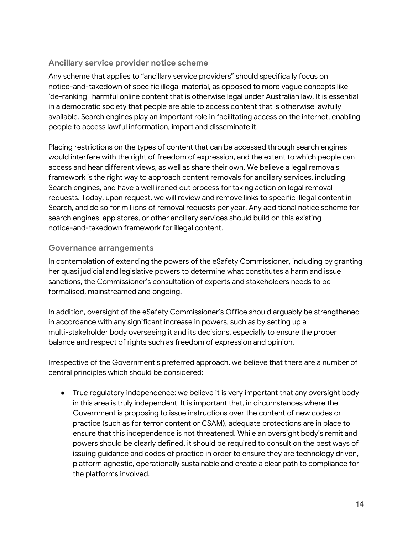# **Ancillary service provider notice scheme**

Any scheme that applies to "ancillary service providers" should specifically focus on notice-and-takedown of specific illegal material, as opposed to more vague concepts like 'de-ranking' harmful online content that is otherwise legal under Australian law. It is essential in a democratic society that people are able to access content that is otherwise lawfully available. Search engines play an important role in facilitating access on the internet, enabling people to access lawful information, impart and disseminate it.

Placing restrictions on the types of content that can be accessed through search engines would interfere with the right of freedom of expression, and the extent to which people can access and hear different views, as well as share their own. We believe a legal removals framework is the right way to approach content removals for ancillary services, including Search engines, and have a well ironed out process for taking action on legal removal requests. Today, upon request, we will review and remove links to specific illegal content in Search, and do so for millions of removal requests per year. Any additional notice scheme for search engines, app stores, or other ancillary services should build on this existing notice-and-takedown framework for illegal content.

### **Governance arrangements**

In contemplation of extending the powers of the eSafety Commissioner, including by granting her quasi judicial and legislative powers to determine what constitutes a harm and issue sanctions, the Commissioner's consultation of experts and stakeholders needs to be formalised, mainstreamed and ongoing.

In addition, oversight of the eSafety Commissioner's Office should arguably be strengthened in accordance with any significant increase in powers, such as by setting up a multi-stakeholder body overseeing it and its decisions, especially to ensure the proper balance and respect of rights such as freedom of expression and opinion.

Irrespective of the Government's preferred approach, we believe that there are a number of central principles which should be considered:

• True requlatory independence: we believe it is very important that any oversight body in this area is truly independent. It is important that, in circumstances where the Government is proposing to issue instructions over the content of new codes or practice (such as for terror content or CSAM), adequate protections are in place to ensure that this independence is not threatened. While an oversight body's remit and powers should be clearly defined, it should be required to consult on the best ways of issuing guidance and codes of practice in order to ensure they are technology driven, platform agnostic, operationally sustainable and create a clear path to compliance for the platforms involved.